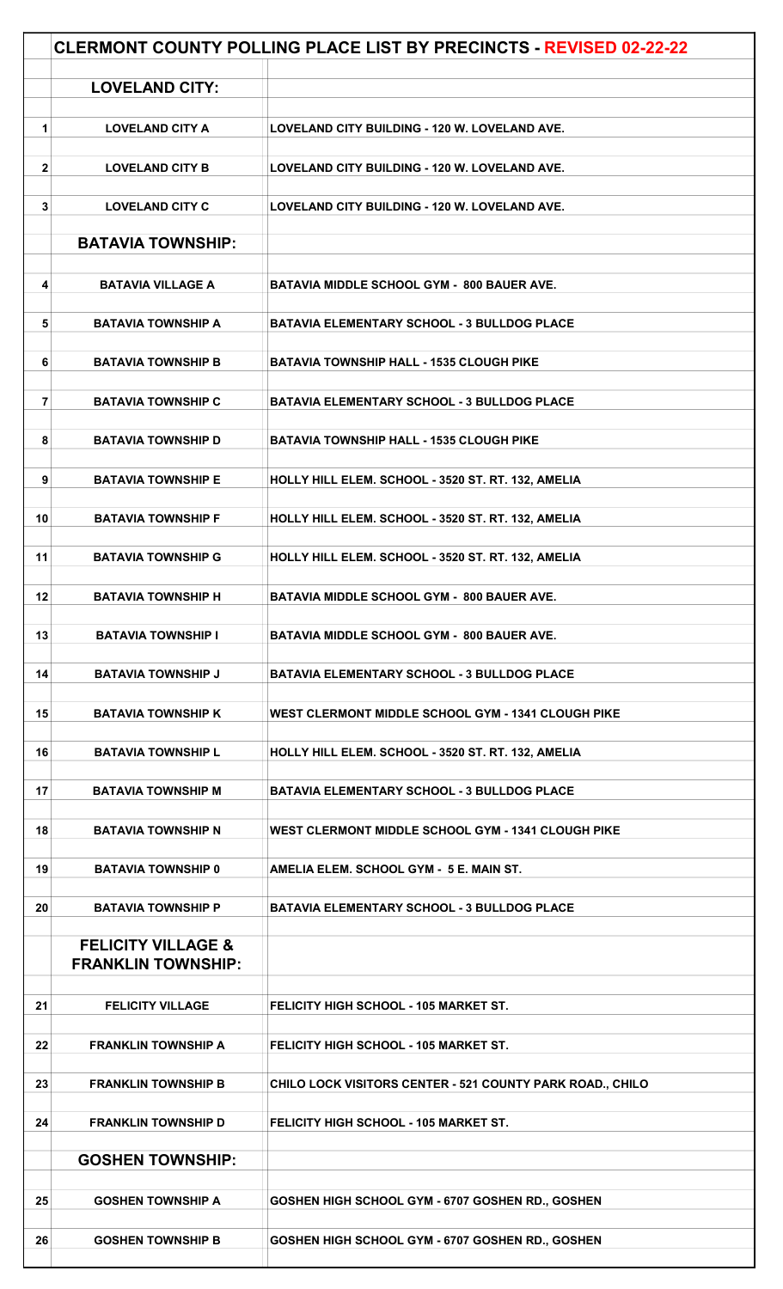|              |                                                            | <b>CLERMONT COUNTY POLLING PLACE LIST BY PRECINCTS - REVISED 02-22-22</b> |
|--------------|------------------------------------------------------------|---------------------------------------------------------------------------|
|              | <b>LOVELAND CITY:</b>                                      |                                                                           |
|              |                                                            |                                                                           |
| 1            | <b>LOVELAND CITY A</b>                                     | LOVELAND CITY BUILDING - 120 W. LOVELAND AVE.                             |
| $\mathbf{2}$ | <b>LOVELAND CITY B</b>                                     | LOVELAND CITY BUILDING - 120 W. LOVELAND AVE.                             |
| 3            | <b>LOVELAND CITY C</b>                                     | LOVELAND CITY BUILDING - 120 W. LOVELAND AVE.                             |
|              | <b>BATAVIA TOWNSHIP:</b>                                   |                                                                           |
|              |                                                            |                                                                           |
| 4            | <b>BATAVIA VILLAGE A</b>                                   | <b>BATAVIA MIDDLE SCHOOL GYM - 800 BAUER AVE.</b>                         |
|              |                                                            |                                                                           |
| 5            | <b>BATAVIA TOWNSHIP A</b>                                  | <b>BATAVIA ELEMENTARY SCHOOL - 3 BULLDOG PLACE</b>                        |
|              |                                                            |                                                                           |
| 6            | <b>BATAVIA TOWNSHIP B</b>                                  | <b>BATAVIA TOWNSHIP HALL - 1535 CLOUGH PIKE</b>                           |
| 7            | <b>BATAVIA TOWNSHIP C</b>                                  | <b>BATAVIA ELEMENTARY SCHOOL - 3 BULLDOG PLACE</b>                        |
| 8            | <b>BATAVIA TOWNSHIP D</b>                                  | <b>BATAVIA TOWNSHIP HALL - 1535 CLOUGH PIKE</b>                           |
| 9            | <b>BATAVIA TOWNSHIP E</b>                                  | HOLLY HILL ELEM. SCHOOL - 3520 ST. RT. 132, AMELIA                        |
| 10           | <b>BATAVIA TOWNSHIP F</b>                                  | HOLLY HILL ELEM. SCHOOL - 3520 ST. RT. 132, AMELIA                        |
| 11           | <b>BATAVIA TOWNSHIP G</b>                                  | HOLLY HILL ELEM. SCHOOL - 3520 ST. RT. 132, AMELIA                        |
| 12           | <b>BATAVIA TOWNSHIP H</b>                                  | <b>BATAVIA MIDDLE SCHOOL GYM - 800 BAUER AVE.</b>                         |
| 13           | <b>BATAVIA TOWNSHIP I</b>                                  | <b>BATAVIA MIDDLE SCHOOL GYM - 800 BAUER AVE.</b>                         |
| 14           | <b>BATAVIA TOWNSHIP J</b>                                  | <b>BATAVIA ELEMENTARY SCHOOL - 3 BULLDOG PLACE</b>                        |
| 15           | <b>BATAVIA TOWNSHIP K</b>                                  | WEST CLERMONT MIDDLE SCHOOL GYM - 1341 CLOUGH PIKE                        |
| 16           | <b>BATAVIA TOWNSHIP L</b>                                  | HOLLY HILL ELEM. SCHOOL - 3520 ST. RT. 132, AMELIA                        |
|              |                                                            |                                                                           |
| 17           | <b>BATAVIA TOWNSHIP M</b>                                  | <b>BATAVIA ELEMENTARY SCHOOL - 3 BULLDOG PLACE</b>                        |
| 18           | <b>BATAVIA TOWNSHIP N</b>                                  | <b>WEST CLERMONT MIDDLE SCHOOL GYM - 1341 CLOUGH PIKE</b>                 |
| 19           | <b>BATAVIA TOWNSHIP 0</b>                                  | AMELIA ELEM. SCHOOL GYM - 5 E. MAIN ST.                                   |
| 20           | <b>BATAVIA TOWNSHIP P</b>                                  | <b>BATAVIA ELEMENTARY SCHOOL - 3 BULLDOG PLACE</b>                        |
|              | <b>FELICITY VILLAGE &amp;</b><br><b>FRANKLIN TOWNSHIP:</b> |                                                                           |
| 21           | <b>FELICITY VILLAGE</b>                                    | FELICITY HIGH SCHOOL - 105 MARKET ST.                                     |
| 22           | <b>FRANKLIN TOWNSHIP A</b>                                 | FELICITY HIGH SCHOOL - 105 MARKET ST.                                     |
| 23           | <b>FRANKLIN TOWNSHIP B</b>                                 | CHILO LOCK VISITORS CENTER - 521 COUNTY PARK ROAD., CHILO                 |
| 24           | <b>FRANKLIN TOWNSHIP D</b>                                 | <b>FELICITY HIGH SCHOOL - 105 MARKET ST.</b>                              |
|              |                                                            |                                                                           |
|              | <b>GOSHEN TOWNSHIP:</b>                                    |                                                                           |
|              |                                                            |                                                                           |
| 25           | <b>GOSHEN TOWNSHIP A</b>                                   | GOSHEN HIGH SCHOOL GYM - 6707 GOSHEN RD., GOSHEN                          |
| 26           | <b>GOSHEN TOWNSHIP B</b>                                   | GOSHEN HIGH SCHOOL GYM - 6707 GOSHEN RD., GOSHEN                          |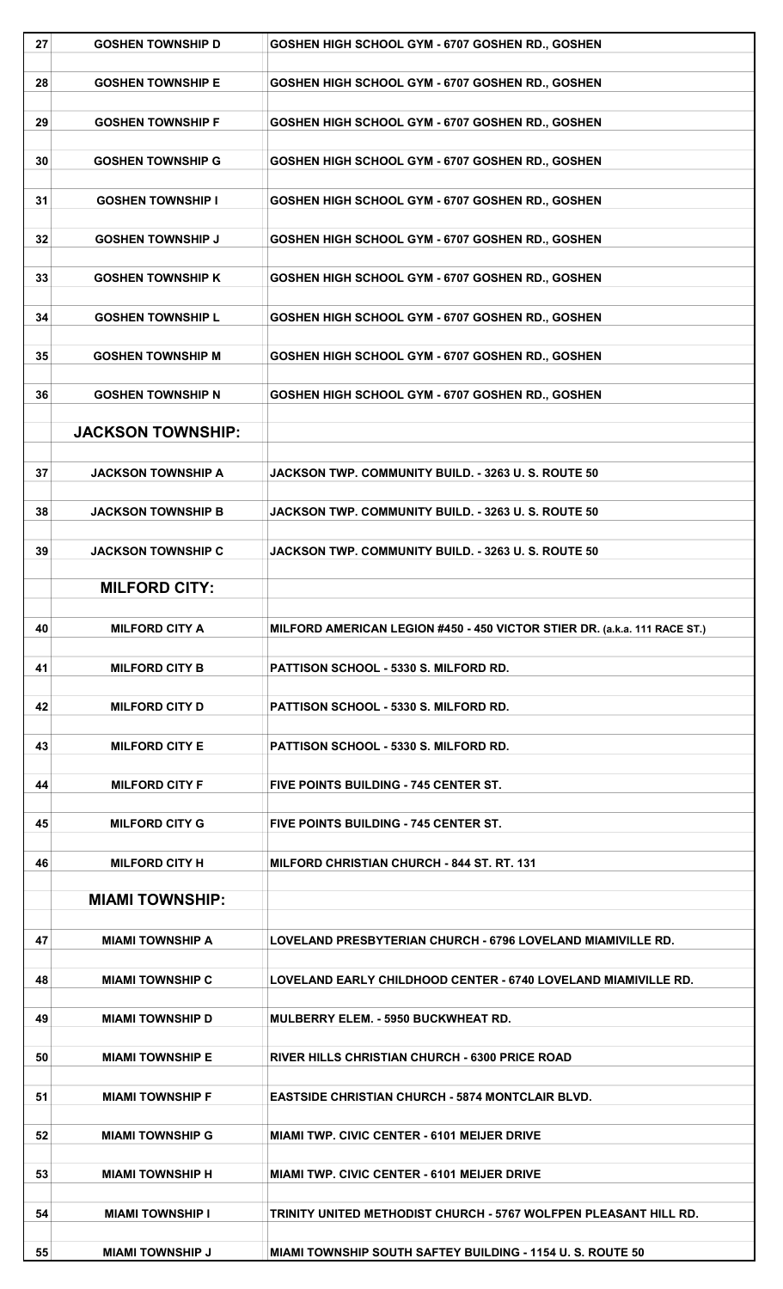| 27 | <b>GOSHEN TOWNSHIP D</b>                        | GOSHEN HIGH SCHOOL GYM - 6707 GOSHEN RD., GOSHEN                          |
|----|-------------------------------------------------|---------------------------------------------------------------------------|
| 28 | <b>GOSHEN TOWNSHIP E</b>                        | GOSHEN HIGH SCHOOL GYM - 6707 GOSHEN RD., GOSHEN                          |
| 29 | <b>GOSHEN TOWNSHIP F</b>                        | GOSHEN HIGH SCHOOL GYM - 6707 GOSHEN RD., GOSHEN                          |
| 30 | <b>GOSHEN TOWNSHIP G</b>                        | GOSHEN HIGH SCHOOL GYM - 6707 GOSHEN RD., GOSHEN                          |
| 31 | <b>GOSHEN TOWNSHIP I</b>                        | GOSHEN HIGH SCHOOL GYM - 6707 GOSHEN RD., GOSHEN                          |
| 32 | <b>GOSHEN TOWNSHIP J</b>                        | GOSHEN HIGH SCHOOL GYM - 6707 GOSHEN RD., GOSHEN                          |
| 33 | <b>GOSHEN TOWNSHIP K</b>                        | GOSHEN HIGH SCHOOL GYM - 6707 GOSHEN RD., GOSHEN                          |
| 34 | <b>GOSHEN TOWNSHIP L</b>                        | GOSHEN HIGH SCHOOL GYM - 6707 GOSHEN RD., GOSHEN                          |
| 35 | <b>GOSHEN TOWNSHIP M</b>                        | GOSHEN HIGH SCHOOL GYM - 6707 GOSHEN RD., GOSHEN                          |
| 36 | <b>GOSHEN TOWNSHIP N</b>                        | GOSHEN HIGH SCHOOL GYM - 6707 GOSHEN RD., GOSHEN                          |
|    | <b>JACKSON TOWNSHIP:</b>                        |                                                                           |
| 37 | <b>JACKSON TOWNSHIP A</b>                       | JACKSON TWP, COMMUNITY BUILD, - 3263 U.S. ROUTE 50                        |
| 38 | <b>JACKSON TOWNSHIP B</b>                       | JACKSON TWP. COMMUNITY BUILD. - 3263 U.S. ROUTE 50                        |
| 39 | <b>JACKSON TOWNSHIP C</b>                       | JACKSON TWP. COMMUNITY BUILD. - 3263 U.S. ROUTE 50                        |
|    |                                                 |                                                                           |
|    | <b>MILFORD CITY:</b>                            |                                                                           |
| 40 | <b>MILFORD CITY A</b>                           | MILFORD AMERICAN LEGION #450 - 450 VICTOR STIER DR. (a.k.a. 111 RACE ST.) |
| 41 | <b>MILFORD CITY B</b>                           | PATTISON SCHOOL - 5330 S. MILFORD RD.                                     |
| 42 | <b>MILFORD CITY D</b>                           | PATTISON SCHOOL - 5330 S. MILFORD RD.                                     |
| 43 | <b>MILFORD CITY E</b>                           | <b>PATTISON SCHOOL - 5330 S. MILFORD RD.</b>                              |
| 44 | <b>MILFORD CITY F</b>                           | <b>FIVE POINTS BUILDING - 745 CENTER ST.</b>                              |
| 45 | <b>MILFORD CITY G</b>                           | <b>FIVE POINTS BUILDING - 745 CENTER ST.</b>                              |
|    |                                                 |                                                                           |
| 46 | <b>MILFORD CITY H</b><br><b>MIAMI TOWNSHIP:</b> | <b>MILFORD CHRISTIAN CHURCH - 844 ST. RT. 131</b>                         |
| 47 | <b>MIAMI TOWNSHIP A</b>                         | LOVELAND PRESBYTERIAN CHURCH - 6796 LOVELAND MIAMIVILLE RD.               |
| 48 | <b>MIAMI TOWNSHIP C</b>                         | LOVELAND EARLY CHILDHOOD CENTER - 6740 LOVELAND MIAMIVILLE RD.            |
| 49 | <b>MIAMI TOWNSHIP D</b>                         | MULBERRY ELEM. - 5950 BUCKWHEAT RD.                                       |
| 50 | <b>MIAMI TOWNSHIP E</b>                         | RIVER HILLS CHRISTIAN CHURCH - 6300 PRICE ROAD                            |
| 51 | <b>MIAMI TOWNSHIP F</b>                         | <b>EASTSIDE CHRISTIAN CHURCH - 5874 MONTCLAIR BLVD.</b>                   |
| 52 | <b>MIAMI TOWNSHIP G</b>                         | <b>MIAMI TWP. CIVIC CENTER - 6101 MEIJER DRIVE</b>                        |
| 53 | <b>MIAMI TOWNSHIP H</b>                         | <b>MIAMI TWP. CIVIC CENTER - 6101 MEIJER DRIVE</b>                        |
| 54 | <b>MIAMI TOWNSHIP I</b>                         | TRINITY UNITED METHODIST CHURCH - 5767 WOLFPEN PLEASANT HILL RD.          |
| 55 | <b>MIAMI TOWNSHIP J</b>                         | <b>MIAMI TOWNSHIP SOUTH SAFTEY BUILDING - 1154 U. S. ROUTE 50</b>         |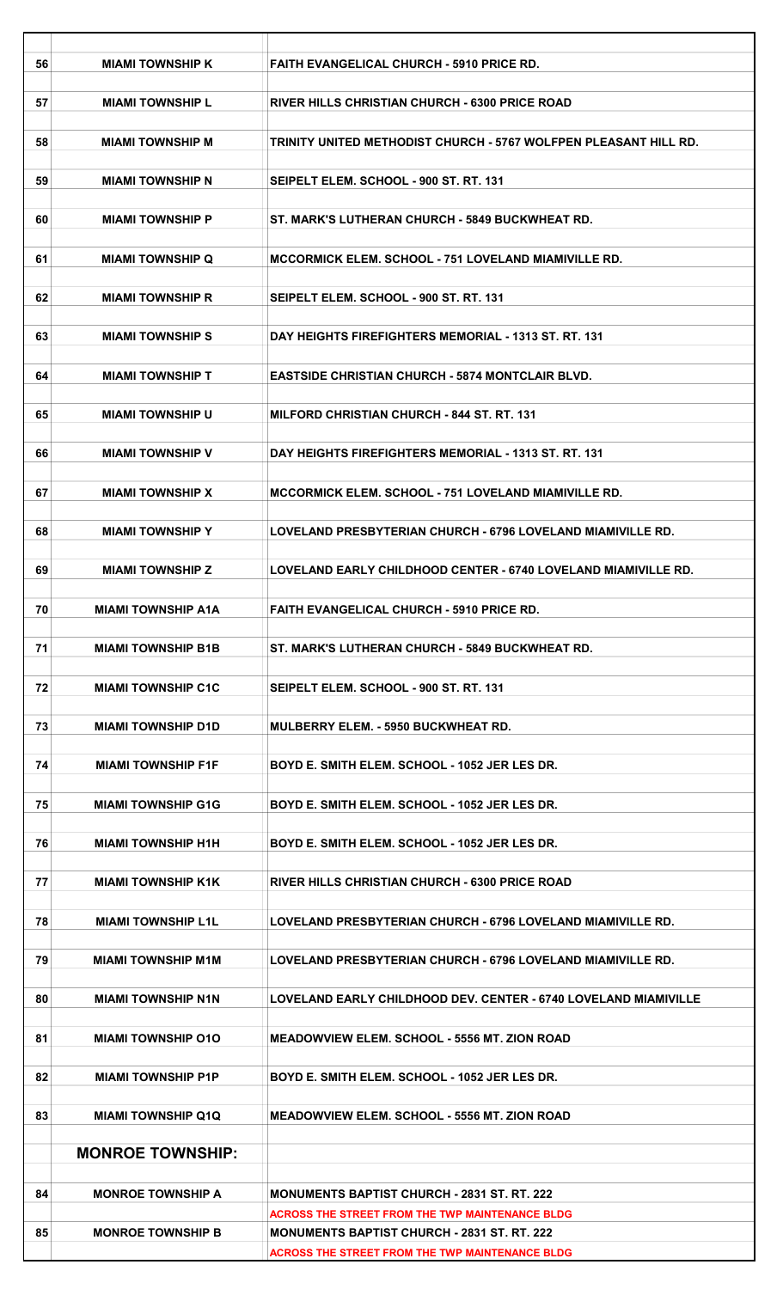| 56 | <b>MIAMI TOWNSHIP K</b>   | <b>FAITH EVANGELICAL CHURCH - 5910 PRICE RD.</b>                 |
|----|---------------------------|------------------------------------------------------------------|
| 57 | <b>MIAMI TOWNSHIP L</b>   | <b>RIVER HILLS CHRISTIAN CHURCH - 6300 PRICE ROAD</b>            |
| 58 | <b>MIAMI TOWNSHIP M</b>   | TRINITY UNITED METHODIST CHURCH - 5767 WOLFPEN PLEASANT HILL RD. |
|    |                           |                                                                  |
| 59 | <b>MIAMI TOWNSHIP N</b>   | SEIPELT ELEM. SCHOOL - 900 ST. RT. 131                           |
| 60 | <b>MIAMI TOWNSHIP P</b>   | ST. MARK'S LUTHERAN CHURCH - 5849 BUCKWHEAT RD.                  |
| 61 | <b>MIAMI TOWNSHIP Q</b>   | <b>MCCORMICK ELEM. SCHOOL - 751 LOVELAND MIAMIVILLE RD.</b>      |
| 62 | <b>MIAMI TOWNSHIP R</b>   | SEIPELT ELEM. SCHOOL - 900 ST. RT. 131                           |
|    |                           |                                                                  |
| 63 | <b>MIAMI TOWNSHIP S</b>   | DAY HEIGHTS FIREFIGHTERS MEMORIAL - 1313 ST. RT. 131             |
| 64 | <b>MIAMI TOWNSHIP T</b>   | <b>EASTSIDE CHRISTIAN CHURCH - 5874 MONTCLAIR BLVD.</b>          |
| 65 | <b>MIAMI TOWNSHIP U</b>   | <b>MILFORD CHRISTIAN CHURCH - 844 ST. RT. 131</b>                |
|    |                           |                                                                  |
| 66 | <b>MIAMI TOWNSHIP V</b>   | DAY HEIGHTS FIREFIGHTERS MEMORIAL - 1313 ST. RT. 131             |
| 67 | <b>MIAMI TOWNSHIP X</b>   | <b>MCCORMICK ELEM. SCHOOL - 751 LOVELAND MIAMIVILLE RD.</b>      |
| 68 | <b>MIAMI TOWNSHIP Y</b>   | LOVELAND PRESBYTERIAN CHURCH - 6796 LOVELAND MIAMIVILLE RD.      |
|    |                           |                                                                  |
| 69 | <b>MIAMI TOWNSHIP Z</b>   | LOVELAND EARLY CHILDHOOD CENTER - 6740 LOVELAND MIAMIVILLE RD.   |
| 70 | <b>MIAMI TOWNSHIP A1A</b> | FAITH EVANGELICAL CHURCH - 5910 PRICE RD.                        |
| 71 | <b>MIAMI TOWNSHIP B1B</b> | ST. MARK'S LUTHERAN CHURCH - 5849 BUCKWHEAT RD.                  |
| 72 | <b>MIAMI TOWNSHIP C1C</b> | SEIPELT ELEM. SCHOOL - 900 ST. RT. 131                           |
| 73 | <b>MIAMI TOWNSHIP D1D</b> | <b>MULBERRY ELEM. - 5950 BUCKWHEAT RD.</b>                       |
|    |                           |                                                                  |
| 74 | <b>MIAMI TOWNSHIP F1F</b> | BOYD E. SMITH ELEM. SCHOOL - 1052 JER LES DR.                    |
| 75 | <b>MIAMI TOWNSHIP G1G</b> | BOYD E. SMITH ELEM. SCHOOL - 1052 JER LES DR.                    |
| 76 | <b>MIAMI TOWNSHIP H1H</b> | BOYD E. SMITH ELEM. SCHOOL - 1052 JER LES DR.                    |
|    |                           |                                                                  |
| 77 | <b>MIAMI TOWNSHIP K1K</b> | RIVER HILLS CHRISTIAN CHURCH - 6300 PRICE ROAD                   |
| 78 | <b>MIAMI TOWNSHIP L1L</b> | LOVELAND PRESBYTERIAN CHURCH - 6796 LOVELAND MIAMIVILLE RD.      |
| 79 | <b>MIAMI TOWNSHIP M1M</b> | LOVELAND PRESBYTERIAN CHURCH - 6796 LOVELAND MIAMIVILLE RD.      |
| 80 | <b>MIAMI TOWNSHIP N1N</b> | LOVELAND EARLY CHILDHOOD DEV. CENTER - 6740 LOVELAND MIAMIVILLE  |
|    |                           |                                                                  |
| 81 | <b>MIAMI TOWNSHIP 010</b> | MEADOWVIEW ELEM. SCHOOL - 5556 MT. ZION ROAD                     |
| 82 | <b>MIAMI TOWNSHIP P1P</b> | BOYD E. SMITH ELEM. SCHOOL - 1052 JER LES DR.                    |
| 83 | <b>MIAMI TOWNSHIP Q1Q</b> | <b>MEADOWVIEW ELEM. SCHOOL - 5556 MT. ZION ROAD</b>              |
|    | <b>MONROE TOWNSHIP:</b>   |                                                                  |
|    |                           |                                                                  |
| 84 | <b>MONROE TOWNSHIP A</b>  | <b>MONUMENTS BAPTIST CHURCH - 2831 ST. RT. 222</b>               |
|    |                           | <b>ACROSS THE STREET FROM THE TWP MAINTENANCE BLDG</b>           |
| 85 | <b>MONROE TOWNSHIP B</b>  | <b>MONUMENTS BAPTIST CHURCH - 2831 ST. RT. 222</b>               |
|    |                           | <b>ACROSS THE STREET FROM THE TWP MAINTENANCE BLDG</b>           |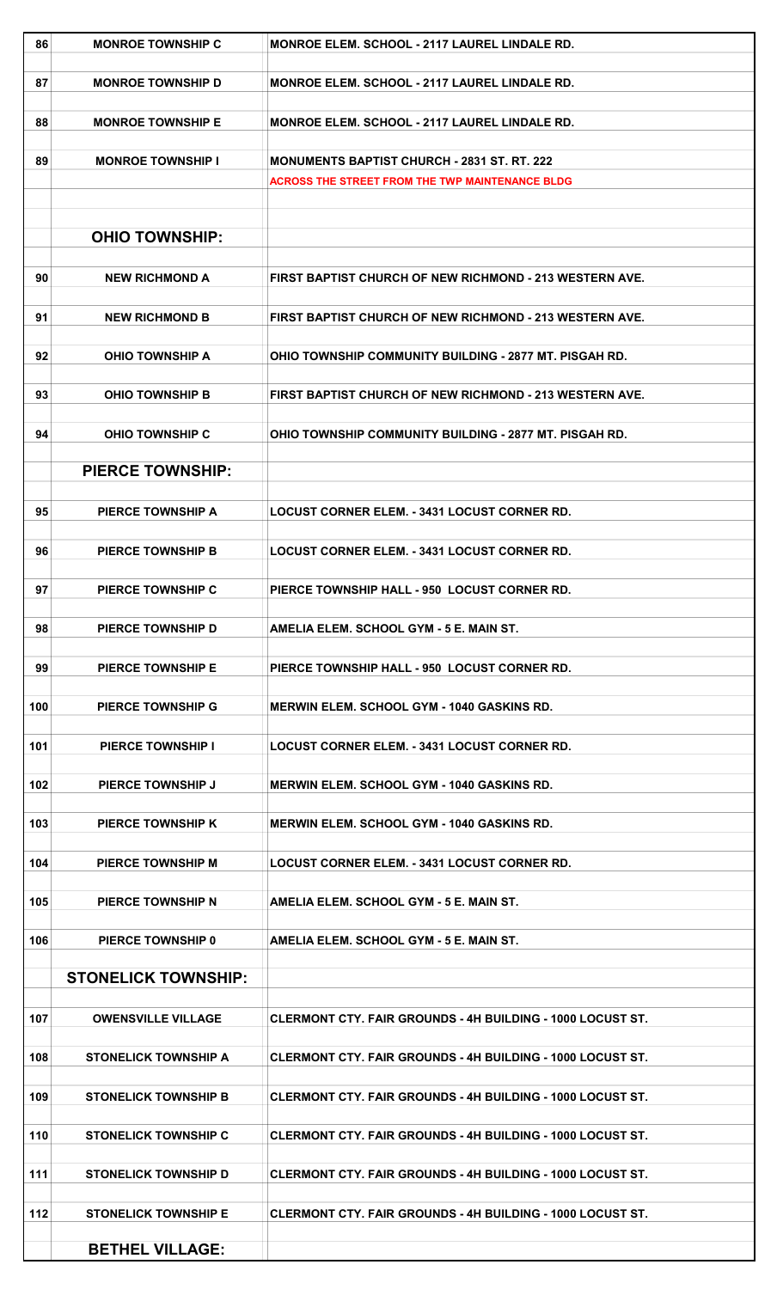| 86  | <b>MONROE TOWNSHIP C</b>    | <b>MONROE ELEM. SCHOOL - 2117 LAUREL LINDALE RD.</b>              |
|-----|-----------------------------|-------------------------------------------------------------------|
| 87  | <b>MONROE TOWNSHIP D</b>    | MONROE ELEM. SCHOOL - 2117 LAUREL LINDALE RD.                     |
| 88  | <b>MONROE TOWNSHIP E</b>    | <b>MONROE ELEM. SCHOOL - 2117 LAUREL LINDALE RD.</b>              |
| 89  | <b>MONROE TOWNSHIP I</b>    | <b>MONUMENTS BAPTIST CHURCH - 2831 ST. RT. 222</b>                |
|     |                             | <b>ACROSS THE STREET FROM THE TWP MAINTENANCE BLDG</b>            |
|     |                             |                                                                   |
|     | <b>OHIO TOWNSHIP:</b>       |                                                                   |
|     |                             |                                                                   |
| 90  | <b>NEW RICHMOND A</b>       | FIRST BAPTIST CHURCH OF NEW RICHMOND - 213 WESTERN AVE.           |
| 91  | <b>NEW RICHMOND B</b>       | FIRST BAPTIST CHURCH OF NEW RICHMOND - 213 WESTERN AVE.           |
| 92  | <b>OHIO TOWNSHIP A</b>      | <b>OHIO TOWNSHIP COMMUNITY BUILDING - 2877 MT, PISGAH RD.</b>     |
| 93  | <b>OHIO TOWNSHIP B</b>      | FIRST BAPTIST CHURCH OF NEW RICHMOND - 213 WESTERN AVE.           |
|     |                             |                                                                   |
| 94  | <b>OHIO TOWNSHIP C</b>      | OHIO TOWNSHIP COMMUNITY BUILDING - 2877 MT. PISGAH RD.            |
|     | <b>PIERCE TOWNSHIP:</b>     |                                                                   |
|     |                             |                                                                   |
| 95  | <b>PIERCE TOWNSHIP A</b>    | <b>LOCUST CORNER ELEM. - 3431 LOCUST CORNER RD.</b>               |
| 96  | <b>PIERCE TOWNSHIP B</b>    | <b>LOCUST CORNER ELEM. - 3431 LOCUST CORNER RD.</b>               |
|     |                             |                                                                   |
| 97  | <b>PIERCE TOWNSHIP C</b>    | PIERCE TOWNSHIP HALL - 950 LOCUST CORNER RD.                      |
| 98  | <b>PIERCE TOWNSHIP D</b>    | AMELIA ELEM. SCHOOL GYM - 5 E. MAIN ST.                           |
| 99  | <b>PIERCE TOWNSHIP E</b>    | PIERCE TOWNSHIP HALL - 950 LOCUST CORNER RD.                      |
|     |                             |                                                                   |
| 100 | <b>PIERCE TOWNSHIP G</b>    | <b>MERWIN ELEM. SCHOOL GYM - 1040 GASKINS RD.</b>                 |
|     |                             |                                                                   |
| 101 | <b>PIERCE TOWNSHIP I</b>    | <b>LOCUST CORNER ELEM. - 3431 LOCUST CORNER RD.</b>               |
| 102 | <b>PIERCE TOWNSHIP J</b>    | MERWIN ELEM. SCHOOL GYM - 1040 GASKINS RD.                        |
|     |                             |                                                                   |
| 103 | <b>PIERCE TOWNSHIP K</b>    | <b>MERWIN ELEM. SCHOOL GYM - 1040 GASKINS RD.</b>                 |
| 104 | <b>PIERCE TOWNSHIP M</b>    | <b>LOCUST CORNER ELEM. - 3431 LOCUST CORNER RD.</b>               |
|     |                             |                                                                   |
| 105 | <b>PIERCE TOWNSHIP N</b>    | AMELIA ELEM. SCHOOL GYM - 5 E. MAIN ST.                           |
| 106 | <b>PIERCE TOWNSHIP 0</b>    | AMELIA ELEM. SCHOOL GYM - 5 E. MAIN ST.                           |
|     |                             |                                                                   |
|     | <b>STONELICK TOWNSHIP:</b>  |                                                                   |
| 107 | <b>OWENSVILLE VILLAGE</b>   | <b>CLERMONT CTY. FAIR GROUNDS - 4H BUILDING - 1000 LOCUST ST.</b> |
|     |                             |                                                                   |
| 108 | <b>STONELICK TOWNSHIP A</b> | CLERMONT CTY. FAIR GROUNDS - 4H BUILDING - 1000 LOCUST ST.        |
|     |                             |                                                                   |
| 109 | <b>STONELICK TOWNSHIP B</b> | <b>CLERMONT CTY. FAIR GROUNDS - 4H BUILDING - 1000 LOCUST ST.</b> |
| 110 | <b>STONELICK TOWNSHIP C</b> | <b>CLERMONT CTY. FAIR GROUNDS - 4H BUILDING - 1000 LOCUST ST.</b> |
|     |                             |                                                                   |
| 111 | <b>STONELICK TOWNSHIP D</b> | <b>CLERMONT CTY. FAIR GROUNDS - 4H BUILDING - 1000 LOCUST ST.</b> |
| 112 | <b>STONELICK TOWNSHIP E</b> | <b>CLERMONT CTY. FAIR GROUNDS - 4H BUILDING - 1000 LOCUST ST.</b> |
|     |                             |                                                                   |
|     | <b>BETHEL VILLAGE:</b>      |                                                                   |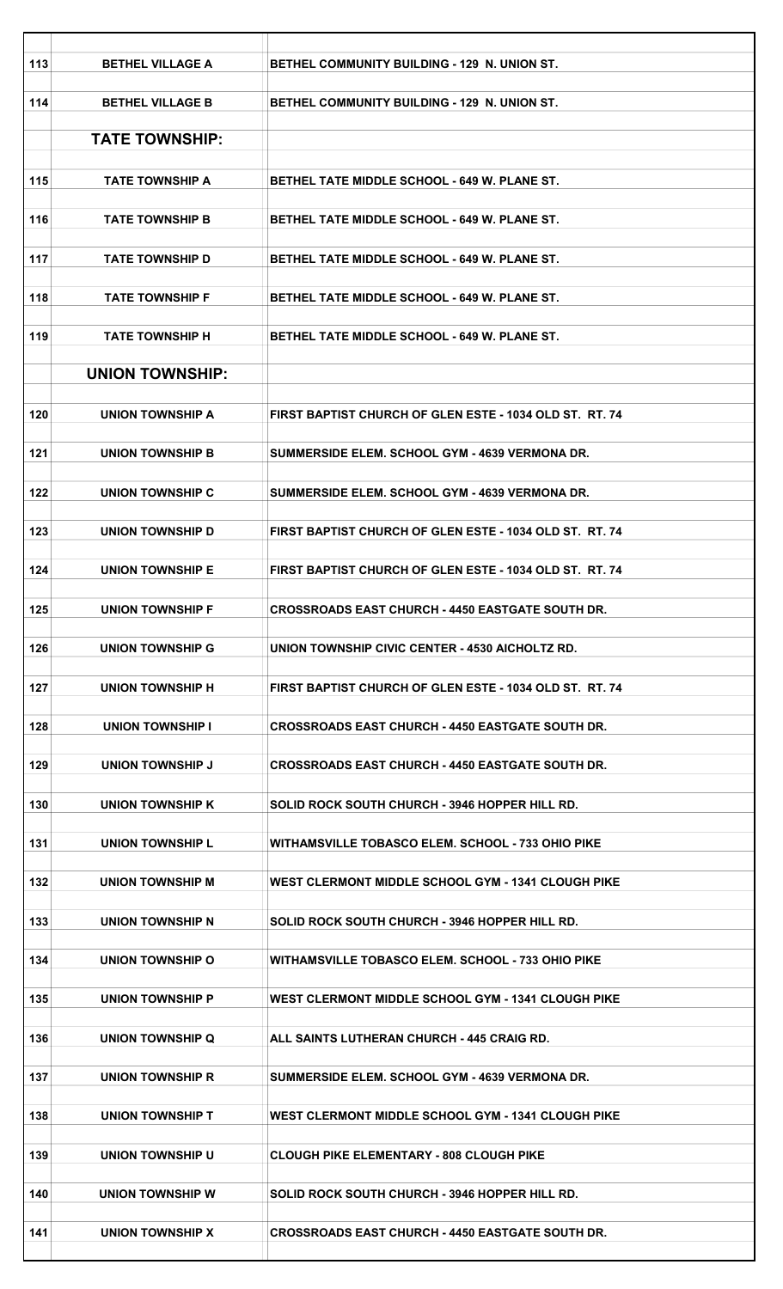| 113 | <b>BETHEL VILLAGE A</b> | BETHEL COMMUNITY BUILDING - 129 N. UNION ST.              |
|-----|-------------------------|-----------------------------------------------------------|
| 114 | <b>BETHEL VILLAGE B</b> | <b>BETHEL COMMUNITY BUILDING - 129 N. UNION ST.</b>       |
|     | <b>TATE TOWNSHIP:</b>   |                                                           |
| 115 | <b>TATE TOWNSHIP A</b>  | <b>BETHEL TATE MIDDLE SCHOOL - 649 W. PLANE ST.</b>       |
| 116 | <b>TATE TOWNSHIP B</b>  | <b>BETHEL TATE MIDDLE SCHOOL - 649 W. PLANE ST.</b>       |
| 117 | <b>TATE TOWNSHIP D</b>  | <b>BETHEL TATE MIDDLE SCHOOL - 649 W. PLANE ST.</b>       |
| 118 | <b>TATE TOWNSHIP F</b>  | <b>BETHEL TATE MIDDLE SCHOOL - 649 W. PLANE ST.</b>       |
| 119 | <b>TATE TOWNSHIP H</b>  | BETHEL TATE MIDDLE SCHOOL - 649 W. PLANE ST.              |
|     | <b>UNION TOWNSHIP:</b>  |                                                           |
| 120 | <b>UNION TOWNSHIP A</b> | FIRST BAPTIST CHURCH OF GLEN ESTE - 1034 OLD ST. RT. 74   |
| 121 | <b>UNION TOWNSHIP B</b> | <b>SUMMERSIDE ELEM. SCHOOL GYM - 4639 VERMONA DR.</b>     |
| 122 | UNION TOWNSHIP C        | SUMMERSIDE ELEM. SCHOOL GYM - 4639 VERMONA DR.            |
| 123 | UNION TOWNSHIP D        | FIRST BAPTIST CHURCH OF GLEN ESTE - 1034 OLD ST. RT. 74   |
| 124 | <b>UNION TOWNSHIP E</b> | FIRST BAPTIST CHURCH OF GLEN ESTE - 1034 OLD ST. RT. 74   |
| 125 | <b>UNION TOWNSHIP F</b> | <b>CROSSROADS EAST CHURCH - 4450 EASTGATE SOUTH DR.</b>   |
| 126 | UNION TOWNSHIP G        | UNION TOWNSHIP CIVIC CENTER - 4530 AICHOLTZ RD.           |
| 127 | UNION TOWNSHIP H        | FIRST BAPTIST CHURCH OF GLEN ESTE - 1034 OLD ST. RT. 74   |
| 128 | <b>UNION TOWNSHIP I</b> | <b>CROSSROADS EAST CHURCH - 4450 EASTGATE SOUTH DR.</b>   |
| 129 | UNION TOWNSHIP J        | <b>CROSSROADS EAST CHURCH - 4450 EASTGATE SOUTH DR.</b>   |
| 130 | UNION TOWNSHIP K        | SOLID ROCK SOUTH CHURCH - 3946 HOPPER HILL RD.            |
| 131 | <b>UNION TOWNSHIP L</b> | WITHAMSVILLE TOBASCO ELEM. SCHOOL - 733 OHIO PIKE         |
| 132 | UNION TOWNSHIP M        | <b>WEST CLERMONT MIDDLE SCHOOL GYM - 1341 CLOUGH PIKE</b> |
| 133 | <b>UNION TOWNSHIP N</b> | SOLID ROCK SOUTH CHURCH - 3946 HOPPER HILL RD.            |
| 134 | UNION TOWNSHIP O        | WITHAMSVILLE TOBASCO ELEM. SCHOOL - 733 OHIO PIKE         |
| 135 | UNION TOWNSHIP P        | WEST CLERMONT MIDDLE SCHOOL GYM - 1341 CLOUGH PIKE        |
| 136 | UNION TOWNSHIP Q        | ALL SAINTS LUTHERAN CHURCH - 445 CRAIG RD.                |
| 137 | <b>UNION TOWNSHIP R</b> | SUMMERSIDE ELEM. SCHOOL GYM - 4639 VERMONA DR.            |
|     |                         |                                                           |
| 138 | UNION TOWNSHIP T        | <b>WEST CLERMONT MIDDLE SCHOOL GYM - 1341 CLOUGH PIKE</b> |
| 139 | UNION TOWNSHIP U        | <b>CLOUGH PIKE ELEMENTARY - 808 CLOUGH PIKE</b>           |
| 140 | UNION TOWNSHIP W        | SOLID ROCK SOUTH CHURCH - 3946 HOPPER HILL RD.            |
| 141 | UNION TOWNSHIP X        | <b>CROSSROADS EAST CHURCH - 4450 EASTGATE SOUTH DR.</b>   |